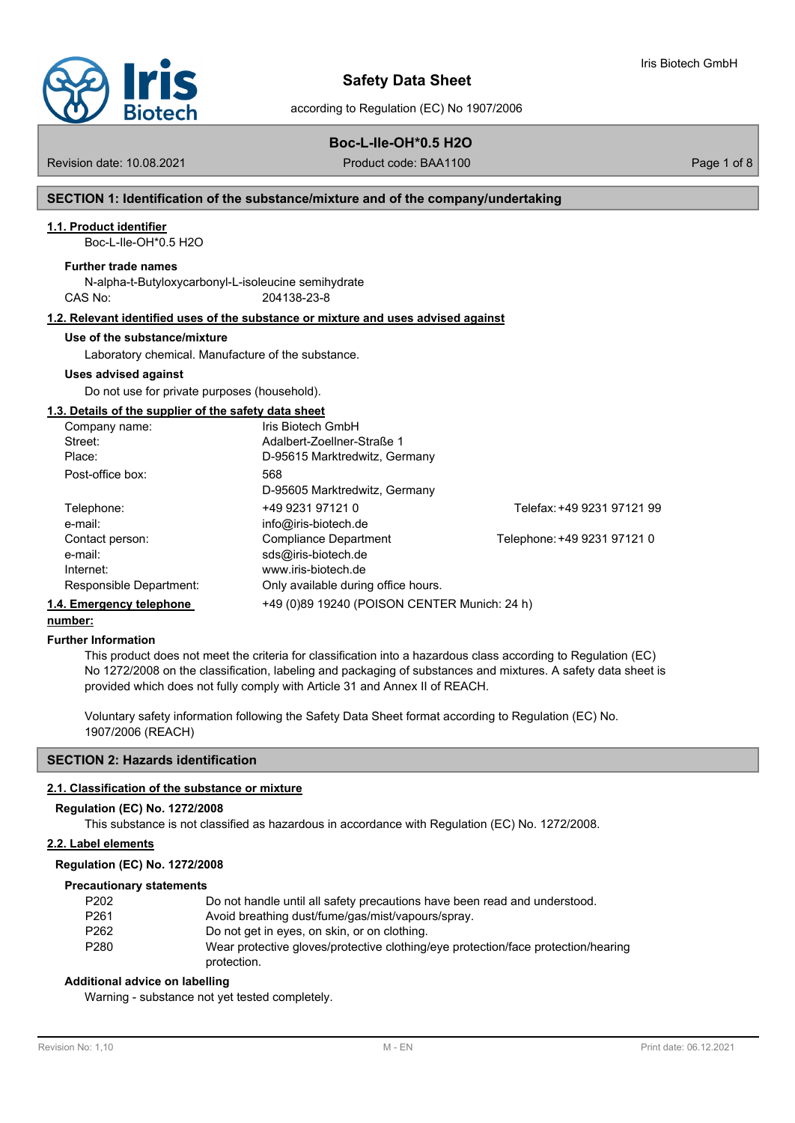

# **Safety Data Sheet**

according to Regulation (EC) No 1907/2006

## **Boc-L-Ile-OH\*0.5 H2O**

Revision date: 10.08.2021 **Product code: BAA1100** Product code: BAA1100

Iris Biotech GmbH

## **SECTION 1: Identification of the substance/mixture and of the company/undertaking**

### **1.1. Product identifier**

Boc-L-Ile-OH\*0.5 H2O

#### **Further trade names**

N-alpha-t-Butyloxycarbonyl-L-isoleucine semihydrate CAS No: 204138-23-8

## **1.2. Relevant identified uses of the substance or mixture and uses advised against**

#### **Use of the substance/mixture**

Laboratory chemical. Manufacture of the substance.

#### **Uses advised against**

Do not use for private purposes (household).

## **1.3. Details of the supplier of the safety data sheet**

| Company name:            | Iris Biotech GmbH                            |                             |
|--------------------------|----------------------------------------------|-----------------------------|
| Street:                  | Adalbert-ZoelIner-Straße 1                   |                             |
| Place:                   | D-95615 Marktredwitz, Germany                |                             |
| Post-office box:         | 568                                          |                             |
|                          | D-95605 Marktredwitz, Germany                |                             |
| Telephone:               | +49 9231 97121 0                             | Telefax: +49 9231 97121 99  |
| e-mail:                  | info@iris-biotech.de                         |                             |
| Contact person:          | Compliance Department                        | Telephone: +49 9231 97121 0 |
| e-mail:                  | sds@iris-biotech.de                          |                             |
| Internet:                | www.iris-biotech.de                          |                             |
| Responsible Department:  | Only available during office hours.          |                             |
| 1.4. Emergency telephone | +49 (0)89 19240 (POISON CENTER Munich: 24 h) |                             |

## **number:**

#### **Further Information**

This product does not meet the criteria for classification into a hazardous class according to Regulation (EC) No 1272/2008 on the classification, labeling and packaging of substances and mixtures. A safety data sheet is provided which does not fully comply with Article 31 and Annex II of REACH.

Voluntary safety information following the Safety Data Sheet format according to Regulation (EC) No. 1907/2006 (REACH)

## **SECTION 2: Hazards identification**

### **2.1. Classification of the substance or mixture**

#### **Regulation (EC) No. 1272/2008**

This substance is not classified as hazardous in accordance with Regulation (EC) No. 1272/2008.

## **2.2. Label elements**

#### **Regulation (EC) No. 1272/2008**

#### **Precautionary statements**

| P <sub>202</sub> | Do not handle until all safety precautions have been read and understood.         |
|------------------|-----------------------------------------------------------------------------------|
| P <sub>261</sub> | Avoid breathing dust/fume/gas/mist/vapours/spray.                                 |
| P <sub>262</sub> | Do not get in eyes, on skin, or on clothing.                                      |
| P <sub>280</sub> | Wear protective gloves/protective clothing/eye protection/face protection/hearing |
|                  | protection.                                                                       |

### **Additional advice on labelling**

Warning - substance not yet tested completely.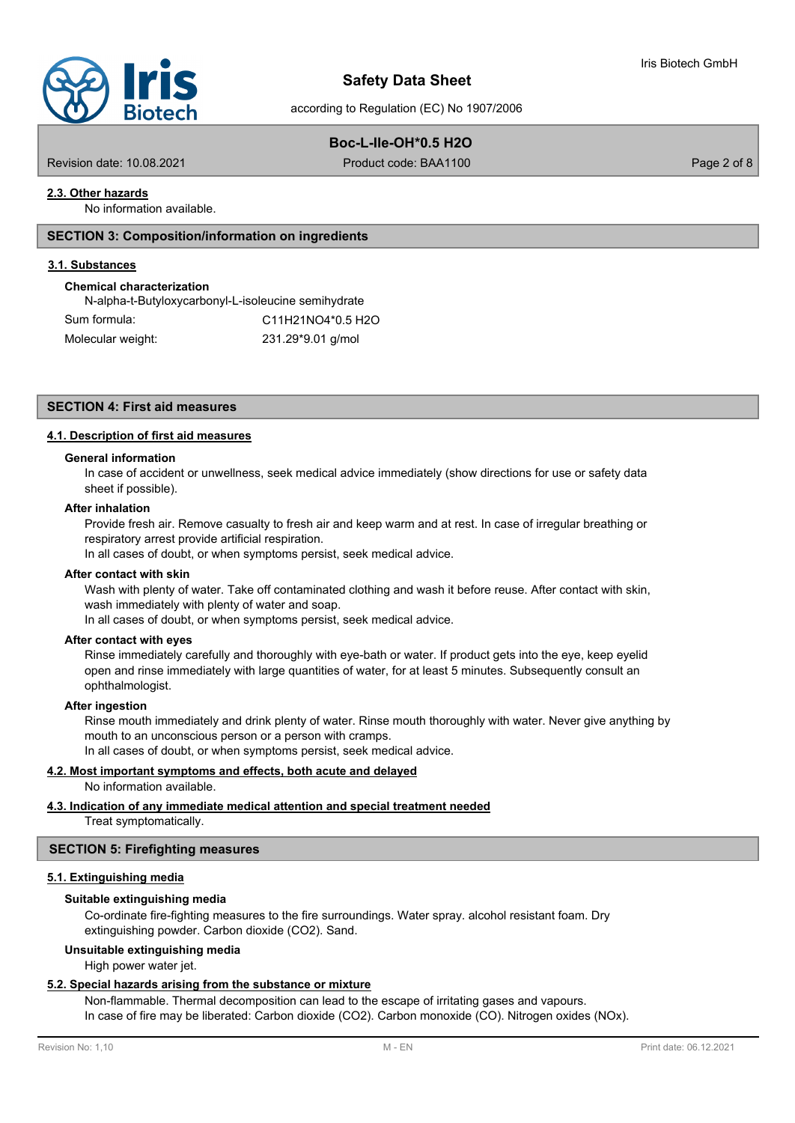

# **Boc-L-Ile-OH\*0.5 H2O**

Revision date: 10.08.2021 **Product code: BAA1100** Product code: BAA1100

## **2.3. Other hazards**

No information available.

## **SECTION 3: Composition/information on ingredients**

#### **3.1. Substances**

## **Chemical characterization**

| N-alpha-t-Butyloxycarbonyl-L-isoleucine semihydrate |                   |  |
|-----------------------------------------------------|-------------------|--|
| Sum formula:                                        | C11H21NO4*0.5 H2O |  |
| Molecular weight:                                   | 231.29*9.01 g/mol |  |

## **SECTION 4: First aid measures**

## **4.1. Description of first aid measures**

## **General information**

In case of accident or unwellness, seek medical advice immediately (show directions for use or safety data sheet if possible).

#### **After inhalation**

Provide fresh air. Remove casualty to fresh air and keep warm and at rest. In case of irregular breathing or respiratory arrest provide artificial respiration.

In all cases of doubt, or when symptoms persist, seek medical advice.

#### **After contact with skin**

Wash with plenty of water. Take off contaminated clothing and wash it before reuse. After contact with skin, wash immediately with plenty of water and soap.

In all cases of doubt, or when symptoms persist, seek medical advice.

## **After contact with eyes**

Rinse immediately carefully and thoroughly with eye-bath or water. If product gets into the eye, keep eyelid open and rinse immediately with large quantities of water, for at least 5 minutes. Subsequently consult an ophthalmologist.

#### **After ingestion**

Rinse mouth immediately and drink plenty of water. Rinse mouth thoroughly with water. Never give anything by mouth to an unconscious person or a person with cramps.

In all cases of doubt, or when symptoms persist, seek medical advice.

# **4.2. Most important symptoms and effects, both acute and delayed**

No information available.

# **4.3. Indication of any immediate medical attention and special treatment needed**

Treat symptomatically.

# **SECTION 5: Firefighting measures**

## **5.1. Extinguishing media**

# **Suitable extinguishing media**

Co-ordinate fire-fighting measures to the fire surroundings. Water spray. alcohol resistant foam. Dry extinguishing powder. Carbon dioxide (CO2). Sand.

## **Unsuitable extinguishing media**

High power water jet.

# **5.2. Special hazards arising from the substance or mixture**

Non-flammable. Thermal decomposition can lead to the escape of irritating gases and vapours. In case of fire may be liberated: Carbon dioxide (CO2). Carbon monoxide (CO). Nitrogen oxides (NOx).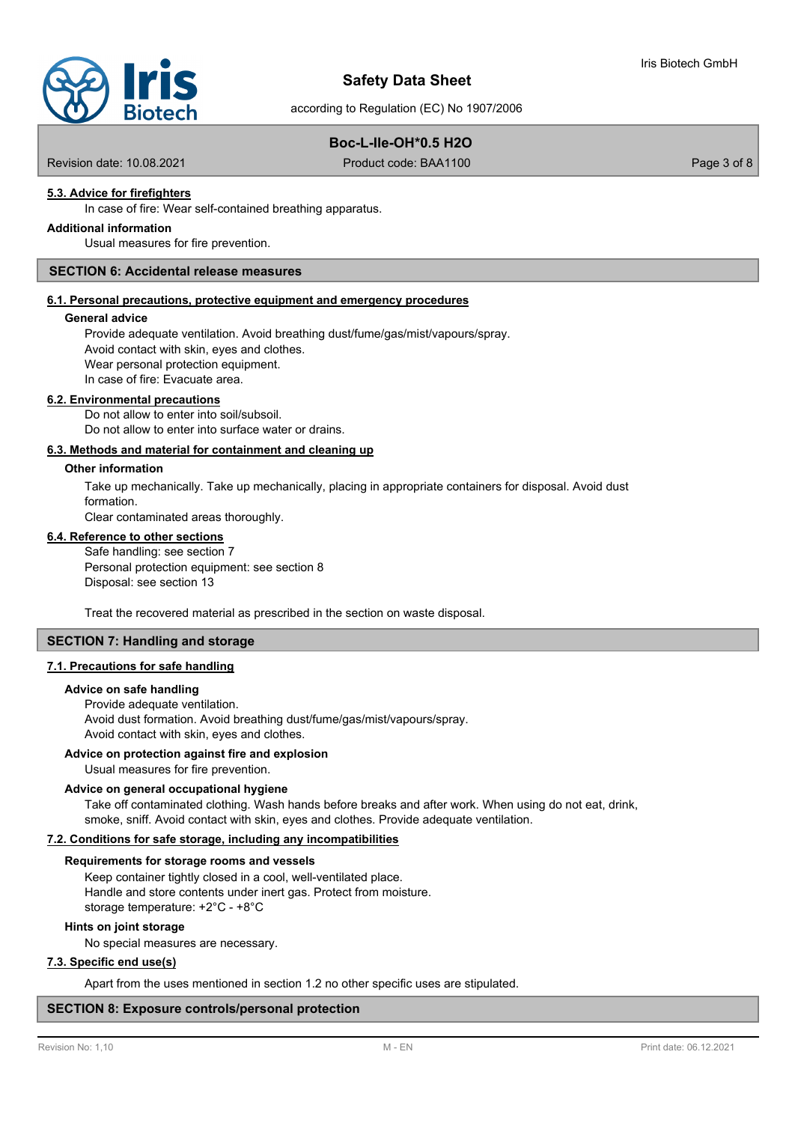# **Safety Data Sheet**

according to Regulation (EC) No 1907/2006

# **Boc-L-Ile-OH\*0.5 H2O**

Revision date: 10.08.2021 **Product code: BAA1100** Product code: BAA1100

# **5.3. Advice for firefighters**

In case of fire: Wear self-contained breathing apparatus.

# **Additional information**

Usual measures for fire prevention.

## **SECTION 6: Accidental release measures**

## **6.1. Personal precautions, protective equipment and emergency procedures**

#### **General advice**

Provide adequate ventilation. Avoid breathing dust/fume/gas/mist/vapours/spray. Avoid contact with skin, eyes and clothes. Wear personal protection equipment. In case of fire: Evacuate area.

#### **6.2. Environmental precautions**

Do not allow to enter into soil/subsoil. Do not allow to enter into surface water or drains.

#### **6.3. Methods and material for containment and cleaning up**

#### **Other information**

Take up mechanically. Take up mechanically, placing in appropriate containers for disposal. Avoid dust formation.

Clear contaminated areas thoroughly.

## **6.4. Reference to other sections**

Safe handling: see section 7 Personal protection equipment: see section 8 Disposal: see section 13

Treat the recovered material as prescribed in the section on waste disposal.

## **SECTION 7: Handling and storage**

#### **7.1. Precautions for safe handling**

#### **Advice on safe handling**

Provide adequate ventilation. Avoid dust formation. Avoid breathing dust/fume/gas/mist/vapours/spray. Avoid contact with skin, eyes and clothes.

## **Advice on protection against fire and explosion**

Usual measures for fire prevention.

### **Advice on general occupational hygiene**

Take off contaminated clothing. Wash hands before breaks and after work. When using do not eat, drink, smoke, sniff. Avoid contact with skin, eyes and clothes. Provide adequate ventilation.

#### **7.2. Conditions for safe storage, including any incompatibilities**

#### **Requirements for storage rooms and vessels**

Keep container tightly closed in a cool, well-ventilated place. Handle and store contents under inert gas. Protect from moisture. storage temperature: +2°C - +8°C

## **Hints on joint storage**

No special measures are necessary.

## **7.3. Specific end use(s)**

Apart from the uses mentioned in section 1.2 no other specific uses are stipulated.

## **SECTION 8: Exposure controls/personal protection**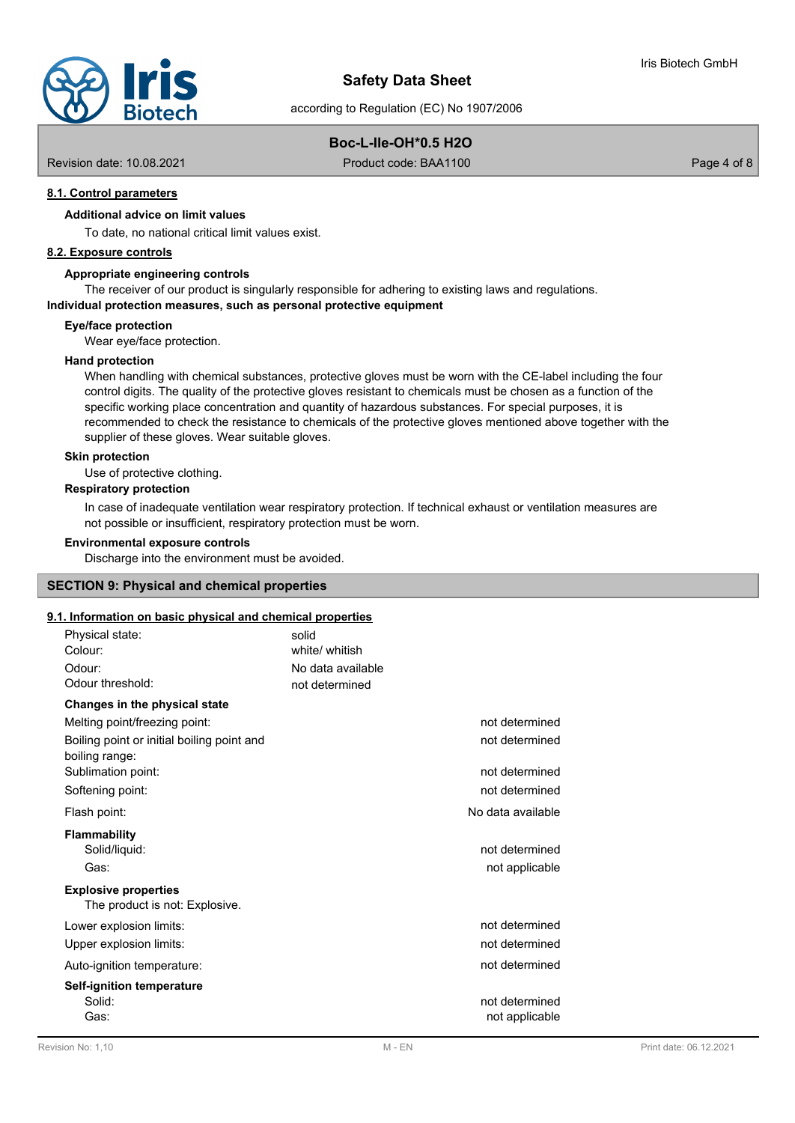

# **Boc-L-Ile-OH\*0.5 H2O**

Revision date: 10.08.2021 **Product code: BAA1100** Product code: BAA1100

## **8.1. Control parameters**

## **Additional advice on limit values**

To date, no national critical limit values exist.

## **8.2. Exposure controls**

## **Appropriate engineering controls**

The receiver of our product is singularly responsible for adhering to existing laws and regulations.

#### **Individual protection measures, such as personal protective equipment**

**Eye/face protection**

Wear eye/face protection.

#### **Hand protection**

When handling with chemical substances, protective gloves must be worn with the CE-label including the four control digits. The quality of the protective gloves resistant to chemicals must be chosen as a function of the specific working place concentration and quantity of hazardous substances. For special purposes, it is recommended to check the resistance to chemicals of the protective gloves mentioned above together with the supplier of these gloves. Wear suitable gloves.

## **Skin protection**

Use of protective clothing.

## **Respiratory protection**

In case of inadequate ventilation wear respiratory protection. If technical exhaust or ventilation measures are not possible or insufficient, respiratory protection must be worn.

#### **Environmental exposure controls**

Discharge into the environment must be avoided.

## **SECTION 9: Physical and chemical properties**

# **9.1. Information on basic physical and chemical properties**

| <u>. Information on basic physical and chemical properties</u> |                                  |
|----------------------------------------------------------------|----------------------------------|
| Physical state:                                                | solid                            |
| Colour:                                                        | white/ whitish                   |
| Odour:                                                         | No data available                |
| Odour threshold:                                               | not determined                   |
| Changes in the physical state                                  |                                  |
| Melting point/freezing point:                                  | not determined                   |
| Boiling point or initial boiling point and<br>boiling range:   | not determined                   |
| Sublimation point:                                             | not determined                   |
| Softening point:                                               | not determined                   |
| Flash point:                                                   | No data available                |
| <b>Flammability</b>                                            |                                  |
| Solid/liquid:                                                  | not determined                   |
| Gas:                                                           | not applicable                   |
| <b>Explosive properties</b><br>The product is not: Explosive.  |                                  |
| Lower explosion limits:                                        | not determined                   |
| Upper explosion limits:                                        | not determined                   |
| Auto-ignition temperature:                                     | not determined                   |
| <b>Self-ignition temperature</b><br>Solid:<br>Gas:             | not determined<br>not applicable |
|                                                                |                                  |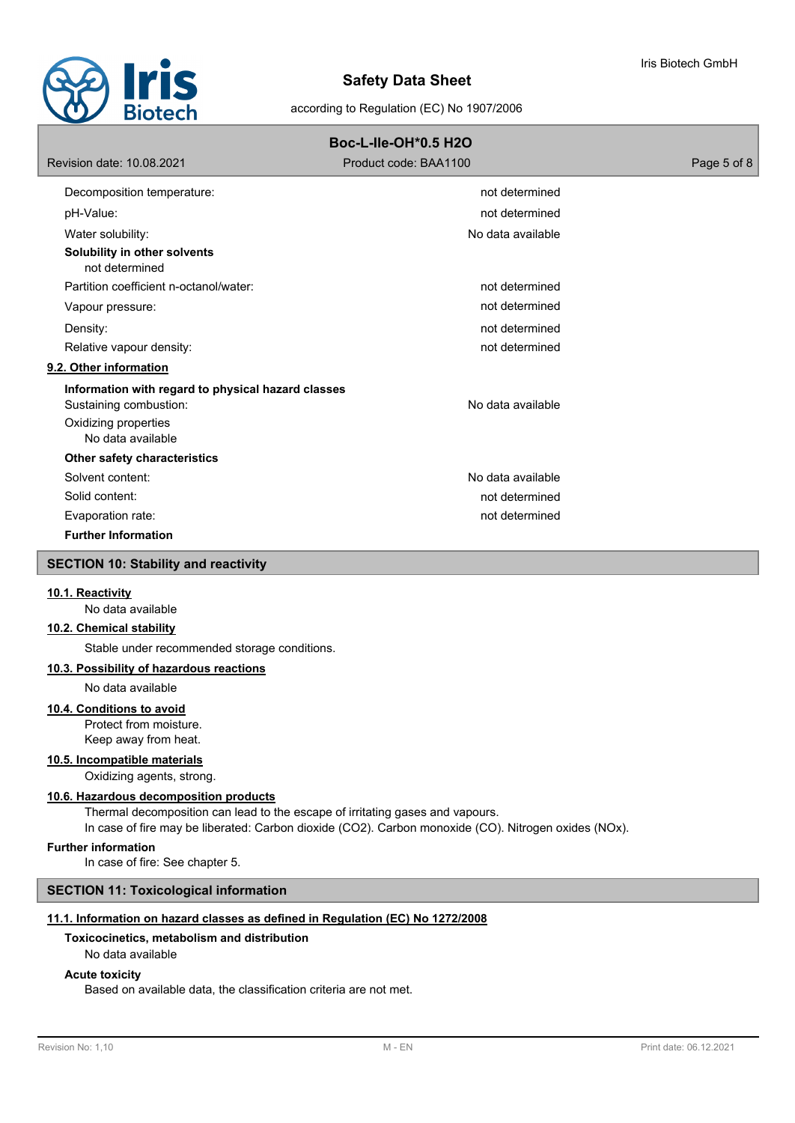

| <b>Boc-L-lle-OH*0.5 H2O</b>                                                                                               |                       |             |  |  |
|---------------------------------------------------------------------------------------------------------------------------|-----------------------|-------------|--|--|
| Revision date: 10.08.2021                                                                                                 | Product code: BAA1100 | Page 5 of 8 |  |  |
| Decomposition temperature:                                                                                                | not determined        |             |  |  |
| pH-Value:                                                                                                                 | not determined        |             |  |  |
| Water solubility:                                                                                                         | No data available     |             |  |  |
| Solubility in other solvents<br>not determined                                                                            |                       |             |  |  |
| Partition coefficient n-octanol/water:                                                                                    | not determined        |             |  |  |
| Vapour pressure:                                                                                                          | not determined        |             |  |  |
| Density:                                                                                                                  | not determined        |             |  |  |
| Relative vapour density:                                                                                                  | not determined        |             |  |  |
| 9.2. Other information                                                                                                    |                       |             |  |  |
| Information with regard to physical hazard classes<br>Sustaining combustion:<br>Oxidizing properties<br>No data available | No data available     |             |  |  |
| Other safety characteristics                                                                                              |                       |             |  |  |
| Solvent content:                                                                                                          | No data available     |             |  |  |
| Solid content:                                                                                                            | not determined        |             |  |  |
| Evaporation rate:                                                                                                         | not determined        |             |  |  |
| <b>Further Information</b>                                                                                                |                       |             |  |  |
| <b>SECTION 10: Stability and reactivity</b>                                                                               |                       |             |  |  |
|                                                                                                                           |                       |             |  |  |

#### **10.1. Reactivity**

No data available

## **10.2. Chemical stability**

Stable under recommended storage conditions.

# **10.3. Possibility of hazardous reactions**

No data available

## **10.4. Conditions to avoid**

Protect from moisture. Keep away from heat.

#### **10.5. Incompatible materials**

Oxidizing agents, strong.

#### **10.6. Hazardous decomposition products**

Thermal decomposition can lead to the escape of irritating gases and vapours. In case of fire may be liberated: Carbon dioxide (CO2). Carbon monoxide (CO). Nitrogen oxides (NOx).

## **Further information**

In case of fire: See chapter 5.

## **SECTION 11: Toxicological information**

## **11.1. Information on hazard classes as defined in Regulation (EC) No 1272/2008**

## **Toxicocinetics, metabolism and distribution**

#### No data available

## **Acute toxicity**

Based on available data, the classification criteria are not met.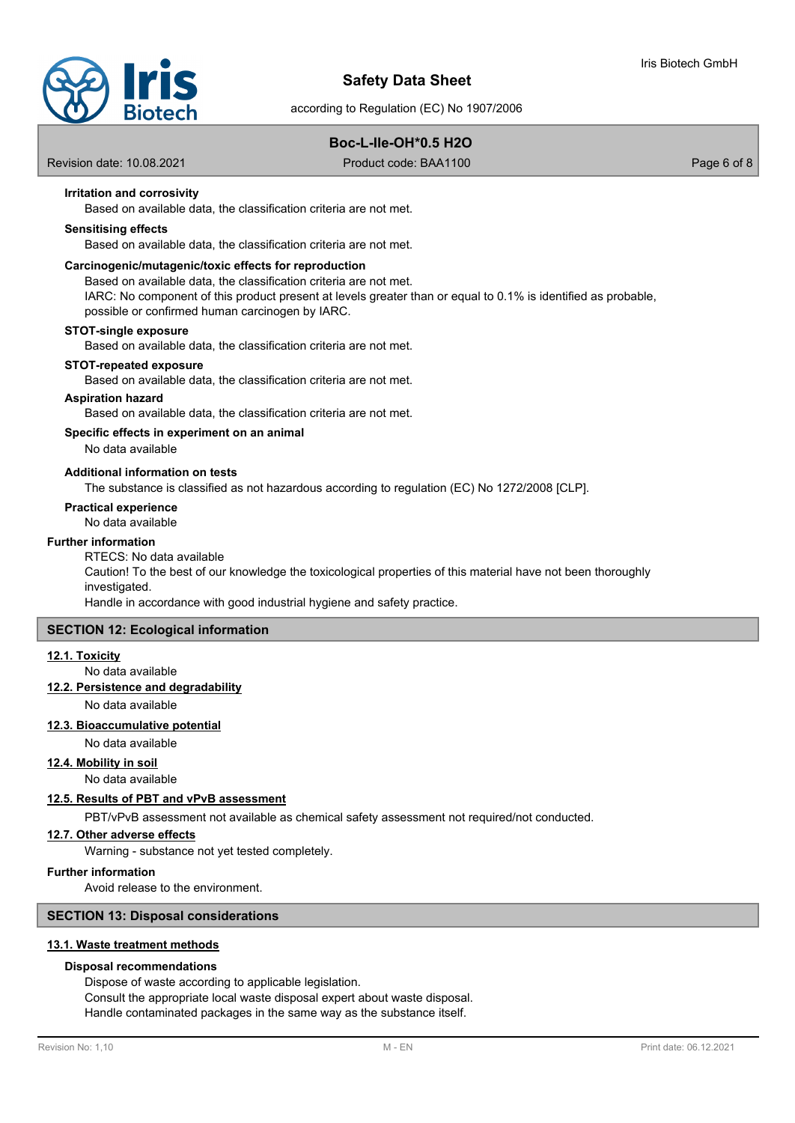

# **Boc-L-Ile-OH\*0.5 H2O**

Revision date: 10.08.2021 **Product code: BAA1100** Product code: BAA1100

## **Irritation and corrosivity**

Based on available data, the classification criteria are not met.

## **Sensitising effects**

Based on available data, the classification criteria are not met.

#### **Carcinogenic/mutagenic/toxic effects for reproduction**

Based on available data, the classification criteria are not met.

IARC: No component of this product present at levels greater than or equal to 0.1% is identified as probable, possible or confirmed human carcinogen by IARC.

#### **STOT-single exposure**

Based on available data, the classification criteria are not met.

#### **STOT-repeated exposure**

Based on available data, the classification criteria are not met.

## **Aspiration hazard**

Based on available data, the classification criteria are not met.

## **Specific effects in experiment on an animal**

No data available

## **Additional information on tests**

The substance is classified as not hazardous according to regulation (EC) No 1272/2008 [CLP].

#### **Practical experience**

No data available

#### **Further information**

RTECS: No data available

Caution! To the best of our knowledge the toxicological properties of this material have not been thoroughly investigated.

Handle in accordance with good industrial hygiene and safety practice.

## **SECTION 12: Ecological information**

#### **12.1. Toxicity**

No data available

## **12.2. Persistence and degradability**

No data available

#### **12.3. Bioaccumulative potential**

No data available

## **12.4. Mobility in soil**

No data available

# **12.5. Results of PBT and vPvB assessment**

PBT/vPvB assessment not available as chemical safety assessment not required/not conducted.

# **12.7. Other adverse effects**

Warning - substance not yet tested completely.

## **Further information**

Avoid release to the environment.

# **SECTION 13: Disposal considerations**

# **13.1. Waste treatment methods**

## **Disposal recommendations**

Dispose of waste according to applicable legislation. Consult the appropriate local waste disposal expert about waste disposal. Handle contaminated packages in the same way as the substance itself.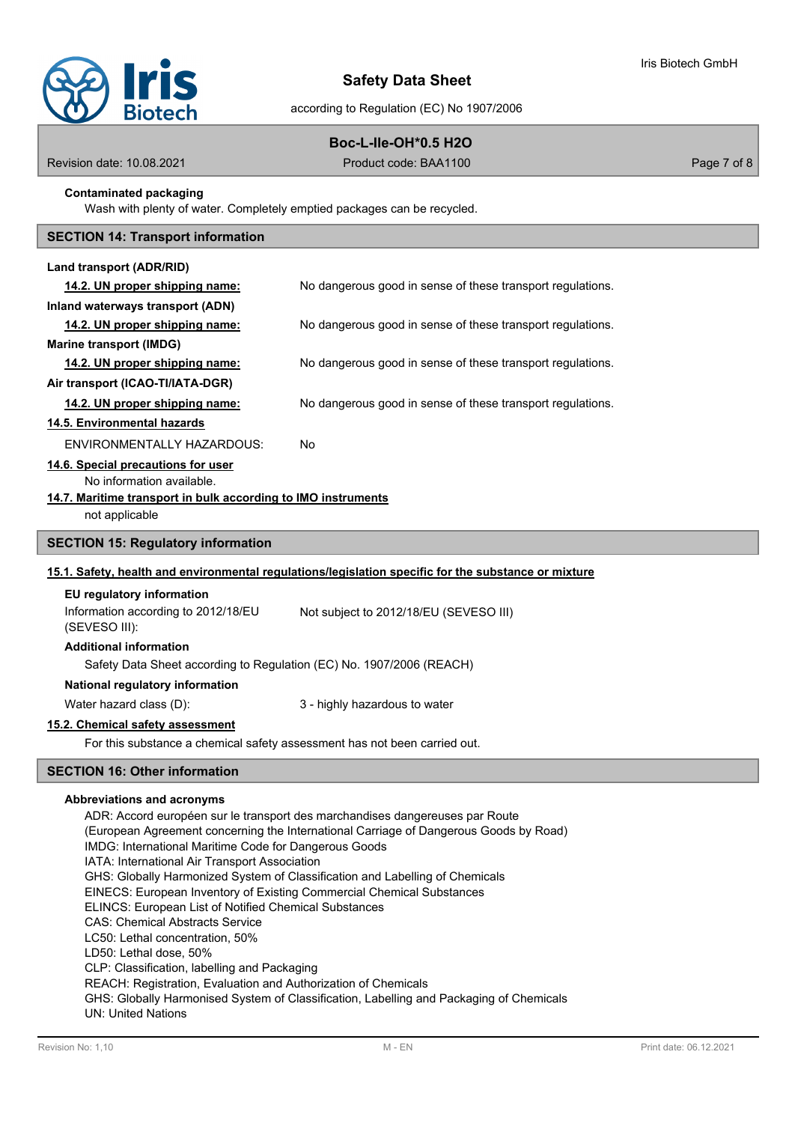

# **Boc-L-Ile-OH\*0.5 H2O**

Revision date: 10.08.2021 **Product code: BAA1100** Product code: BAA1100

## **Contaminated packaging**

Wash with plenty of water. Completely emptied packages can be recycled.

# **SECTION 14: Transport information**

| Land transport (ADR/RID)                                                                                                             |                                                                                                                                                                       |  |
|--------------------------------------------------------------------------------------------------------------------------------------|-----------------------------------------------------------------------------------------------------------------------------------------------------------------------|--|
| 14.2. UN proper shipping name:                                                                                                       | No dangerous good in sense of these transport regulations.                                                                                                            |  |
| Inland waterways transport (ADN)                                                                                                     |                                                                                                                                                                       |  |
| 14.2. UN proper shipping name:                                                                                                       | No dangerous good in sense of these transport regulations.                                                                                                            |  |
| <b>Marine transport (IMDG)</b>                                                                                                       |                                                                                                                                                                       |  |
| 14.2. UN proper shipping name:                                                                                                       | No dangerous good in sense of these transport regulations.                                                                                                            |  |
| Air transport (ICAO-TI/IATA-DGR)                                                                                                     |                                                                                                                                                                       |  |
| 14.2. UN proper shipping name:                                                                                                       | No dangerous good in sense of these transport regulations.                                                                                                            |  |
| 14.5. Environmental hazards                                                                                                          |                                                                                                                                                                       |  |
| ENVIRONMENTALLY HAZARDOUS:                                                                                                           | No                                                                                                                                                                    |  |
| 14.6. Special precautions for user                                                                                                   |                                                                                                                                                                       |  |
| No information available.                                                                                                            |                                                                                                                                                                       |  |
| 14.7. Maritime transport in bulk according to IMO instruments                                                                        |                                                                                                                                                                       |  |
| not applicable                                                                                                                       |                                                                                                                                                                       |  |
| <b>SECTION 15: Regulatory information</b>                                                                                            |                                                                                                                                                                       |  |
|                                                                                                                                      | 15.1. Safety, health and environmental regulations/legislation specific for the substance or mixture                                                                  |  |
| EU regulatory information                                                                                                            |                                                                                                                                                                       |  |
| Information according to 2012/18/EU<br>(SEVESO III):                                                                                 | Not subject to 2012/18/EU (SEVESO III)                                                                                                                                |  |
| <b>Additional information</b>                                                                                                        |                                                                                                                                                                       |  |
| Safety Data Sheet according to Regulation (EC) No. 1907/2006 (REACH)                                                                 |                                                                                                                                                                       |  |
| National regulatory information                                                                                                      |                                                                                                                                                                       |  |
| Water hazard class (D):                                                                                                              | 3 - highly hazardous to water                                                                                                                                         |  |
| 15.2. Chemical safety assessment                                                                                                     |                                                                                                                                                                       |  |
| For this substance a chemical safety assessment has not been carried out.                                                            |                                                                                                                                                                       |  |
| <b>SECTION 16: Other information</b>                                                                                                 |                                                                                                                                                                       |  |
| Abbreviations and acronyms<br>IMDG: International Maritime Code for Dangerous Goods<br>IATA: International Air Transport Association | ADR: Accord européen sur le transport des marchandises dangereuses par Route<br>(European Agreement concerning the International Carriage of Dangerous Goods by Road) |  |

GHS: Globally Harmonized System of Classification and Labelling of Chemicals

EINECS: European Inventory of Existing Commercial Chemical Substances

ELINCS: European List of Notified Chemical Substances

CAS: Chemical Abstracts Service

LC50: Lethal concentration, 50%

LD50: Lethal dose, 50%

CLP: Classification, labelling and Packaging

REACH: Registration, Evaluation and Authorization of Chemicals

GHS: Globally Harmonised System of Classification, Labelling and Packaging of Chemicals UN: United Nations